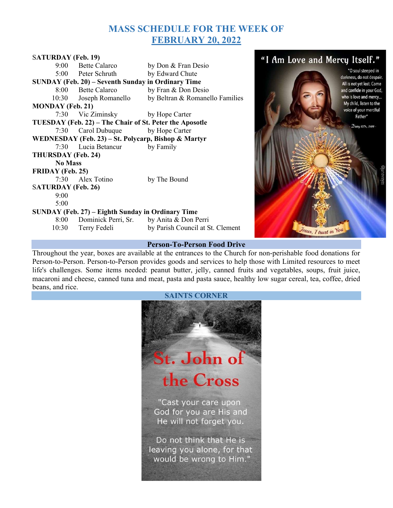# MASS SCHEDULE FOR THE WEEK OF FEBRUARY 20, 2022

| <b>SATURDAY (Feb. 19)</b>                               |                                               |                                  |
|---------------------------------------------------------|-----------------------------------------------|----------------------------------|
|                                                         | 9:00 Bette Calarco                            | by Don & Fran Desio              |
|                                                         | 5:00 Peter Schruth                            | by Edward Chute                  |
| SUNDAY (Feb. 20) – Seventh Sunday in Ordinary Time      |                                               |                                  |
|                                                         | 8:00 Bette Calarco                            | by Fran & Don Desio              |
|                                                         | 10:30 Joseph Romanello                        | by Beltran & Romanello Families  |
| <b>MONDAY</b> (Feb. 21)                                 |                                               |                                  |
|                                                         | 7:30 Vic Ziminsky by Hope Carter              |                                  |
| TUESDAY (Feb. 22) - The Chair of St. Peter the Aposotle |                                               |                                  |
|                                                         | 7:30 Carol Dubuque by Hope Carter             |                                  |
| WEDNESDAY (Feb. 23) – St. Polycarp, Bishop & Martyr     |                                               |                                  |
|                                                         | 7:30 Lucia Betancur                           | by Family                        |
| THURSDAY (Feb. 24)                                      |                                               |                                  |
| <b>No Mass</b>                                          |                                               |                                  |
| <b>FRIDAY</b> (Feb. 25)                                 |                                               |                                  |
|                                                         | 7:30 Alex Totino                              | by The Bound                     |
| <b>SATURDAY</b> (Feb. 26)                               |                                               |                                  |
| 9:00                                                    |                                               |                                  |
| 5:00                                                    |                                               |                                  |
| SUNDAY (Feb. 27) – Eighth Sunday in Ordinary Time       |                                               |                                  |
|                                                         | 8:00 Dominick Perri, Sr. by Anita & Don Perri |                                  |
|                                                         | 10:30 Terry Fedeli                            | by Parish Council at St. Clement |
|                                                         |                                               |                                  |

#### "I Am Love and Mercy Itself." "O soul steeped in darkness, do not despair. All is not yet lost. Come and confide in your God, who is love and mercy... My child, listen to the voice of your merciful Father" Diary 1074, 1486 -

Jesus, 7 trust in You

### Person-To-Person Food Drive

Throughout the year, boxes are available at the entrances to the Church for non-perishable food donations for Person-to-Person. Person-to-Person provides goods and services to help those with Limited resources to meet life's challenges. Some items needed: peanut butter, jelly, canned fruits and vegetables, soups, fruit juice, macaroni and cheese, canned tuna and meat, pasta and pasta sauce, healthy low sugar cereal, tea, coffee, dried beans, and rice.

### SAINTS CORNER